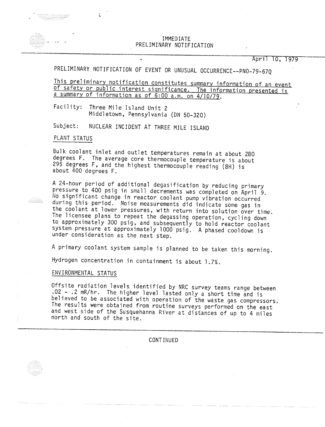## IMMEDIATE PRELIMINARY NOTIFICATI

April 10, 1979

PRELIMINARY NOTIFICATION OF EVENT OR UNUSUAL OCCURRENCE--PNO-79-67Q

This preliminary notification constitutes summary information of an event of safety or public interest significance. The information presented is a summary of information as of 6:00 a.m. on 4/10/79.

Facility: Three Mile Island Unit 2 Middletown, Pennsylvania (ON 50-320)

Subject: NUCLEAR INCIDENT AT THREE MILE ISLAND

## PLANT STATUS

Bulk coolant inlet and outlet temperatures remain at about 280 degrees F. The average core thermocouple temperature is about 295 degrees F, and the highest thermocouple reading (8H) is about 400 degrees F.

A 24-hour period of additional degasification by reducing primary pressure to 400 psig in small decrements was completed on April 9. No significant change in reactor coolant pump vibration occurred during this period. Noise measurements did indicate some gas in the coolant at lower pressures, with return into solution over time. The licensee plans to repeat the degassing operation, cycling down to approximately 300 psig, and subsequently to hold reactor coolant system pressure at approximately 1000 psig. A phased cooldown is under consideration as the next step.

A primary coolant system sample is planned to be taken this morning.

Hydrogen concentration in containment is about 1.7%.

## ENVIRONMENTAL STATUS

Offsite radiation levels identified by NRC survey teams range between .02 - .2 mR/hr. The higher level lasted only a short time and is believed to be associated with operation of the waste gas compressors. The results were obtained from routine surveys performed on the east and west side of the Susquehanna River at distances of up to 4 miles north and south of the site.

**CONTINUED**